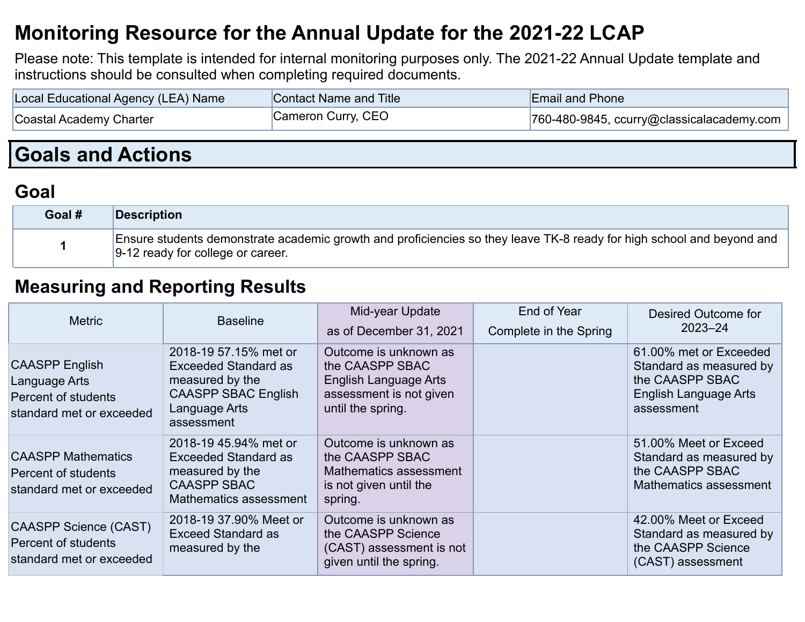## **Monitoring Resource for the Annual Update for the 2021-22 LCAP**

Please note: This template is intended for internal monitoring purposes only. The 2021-22 Annual Update template and instructions should be consulted when completing required documents.

| Local Educational Agency (LEA) Name | Contact Name and Title | <b>Email and Phone</b>                        |
|-------------------------------------|------------------------|-----------------------------------------------|
| Coastal Academy Charter             | Cameron Curry, CEO     | $ 760-480-9845$ , ccurry@classicalacademy.com |

# **Goals and Actions**

### **Goal**

| Goal # | Description                                                                                                                                                |
|--------|------------------------------------------------------------------------------------------------------------------------------------------------------------|
|        | Ensure students demonstrate academic growth and proficiencies so they leave TK-8 ready for high school and beyond and<br>9-12 ready for college or career. |

#### **Measuring and Reporting Results**

| <b>Metric</b>                                                                             | <b>Baseline</b>                                                                                                                      | Mid-year Update<br>as of December 31, 2021                                                                               | End of Year<br>Complete in the Spring | Desired Outcome for<br>$2023 - 24$                                                                                 |
|-------------------------------------------------------------------------------------------|--------------------------------------------------------------------------------------------------------------------------------------|--------------------------------------------------------------------------------------------------------------------------|---------------------------------------|--------------------------------------------------------------------------------------------------------------------|
| <b>CAASPP English</b><br>Language Arts<br>Percent of students<br>standard met or exceeded | 2018-19 57.15% met or<br><b>Exceeded Standard as</b><br>measured by the<br><b>CAASPP SBAC English</b><br>Language Arts<br>assessment | Outcome is unknown as<br>the CAASPP SBAC<br><b>English Language Arts</b><br>assessment is not given<br>until the spring. |                                       | 61.00% met or Exceeded<br>Standard as measured by<br>the CAASPP SBAC<br><b>English Language Arts</b><br>assessment |
| <b>CAASPP Mathematics</b><br>Percent of students<br>standard met or exceeded              | 2018-19 45.94% met or<br><b>Exceeded Standard as</b><br>measured by the<br><b>CAASPP SBAC</b><br>Mathematics assessment              | Outcome is unknown as<br>the CAASPP SBAC<br>Mathematics assessment<br>is not given until the<br>spring.                  |                                       | 51.00% Meet or Exceed<br>Standard as measured by<br>the CAASPP SBAC<br>Mathematics assessment                      |
| <b>CAASPP Science (CAST)</b><br>Percent of students<br>standard met or exceeded           | 2018-19 37,90% Meet or<br><b>Exceed Standard as</b><br>measured by the                                                               | Outcome is unknown as<br>the CAASPP Science<br>(CAST) assessment is not<br>given until the spring.                       |                                       | 42.00% Meet or Exceed<br>Standard as measured by<br>the CAASPP Science<br>(CAST) assessment                        |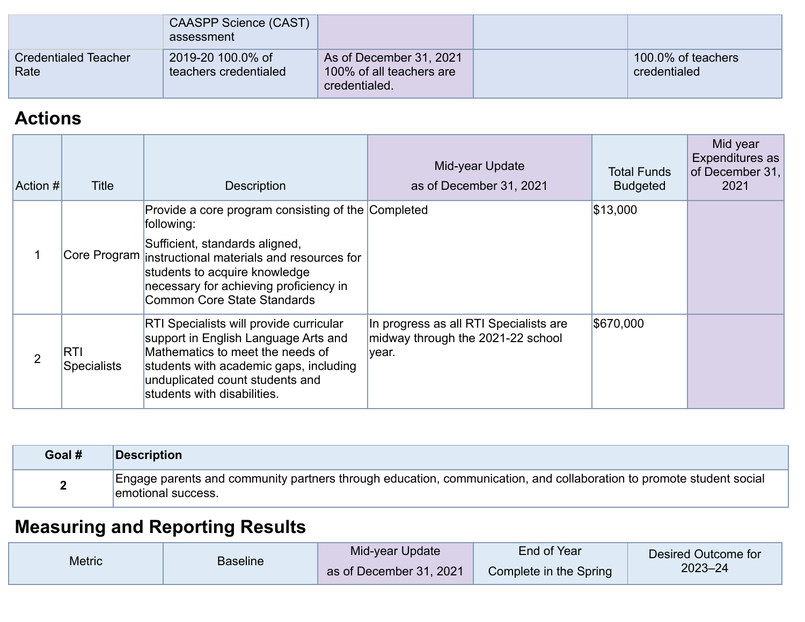|                                     | CAASPP Science (CAST)<br>assessment        |                                                                      |                                    |
|-------------------------------------|--------------------------------------------|----------------------------------------------------------------------|------------------------------------|
| <b>Credentialed Teacher</b><br>Rate | 2019-20 100.0% of<br>teachers credentialed | As of December 31, 2021<br>100% of all teachers are<br>credentialed. | 100.0% of teachers<br>credentialed |

### **Actions**

| Action # | Title                            | <b>Description</b>                                                                                                                                                                                                                                                     | Mid-year Update<br>as of December 31, 2021                                           | <b>Total Funds</b><br><b>Budgeted</b> | Mid year<br>Expenditures as<br>of December 31,<br>2021 |
|----------|----------------------------------|------------------------------------------------------------------------------------------------------------------------------------------------------------------------------------------------------------------------------------------------------------------------|--------------------------------------------------------------------------------------|---------------------------------------|--------------------------------------------------------|
|          |                                  | Provide a core program consisting of the Completed<br>following:<br>Sufficient, standards aligned,<br>Core Program instructional materials and resources for<br>students to acquire knowledge<br>necessary for achieving proficiency in<br>Common Core State Standards |                                                                                      | \$13,000                              |                                                        |
| 2        | <b>RTI</b><br><b>Specialists</b> | <b>RTI Specialists will provide curricular</b><br>support in English Language Arts and<br>Mathematics to meet the needs of<br>students with academic gaps, including<br>unduplicated count students and<br>students with disabilities.                                 | In progress as all RTI Specialists are<br>midway through the 2021-22 school<br>year. | \$670,000                             |                                                        |

| Goal # | Description                                                                                                                               |
|--------|-------------------------------------------------------------------------------------------------------------------------------------------|
|        | Engage parents and community partners through education, communication, and collaboration to promote student social<br>emotional success. |

# **Measuring and Reporting Results**

| <b>Metric</b> | <b>Baseline</b> | Mid-year Update         | End of Year            | Desired Outcome for |
|---------------|-----------------|-------------------------|------------------------|---------------------|
|               |                 | as of December 31, 2021 | Complete in the Spring | $2023 - 24$         |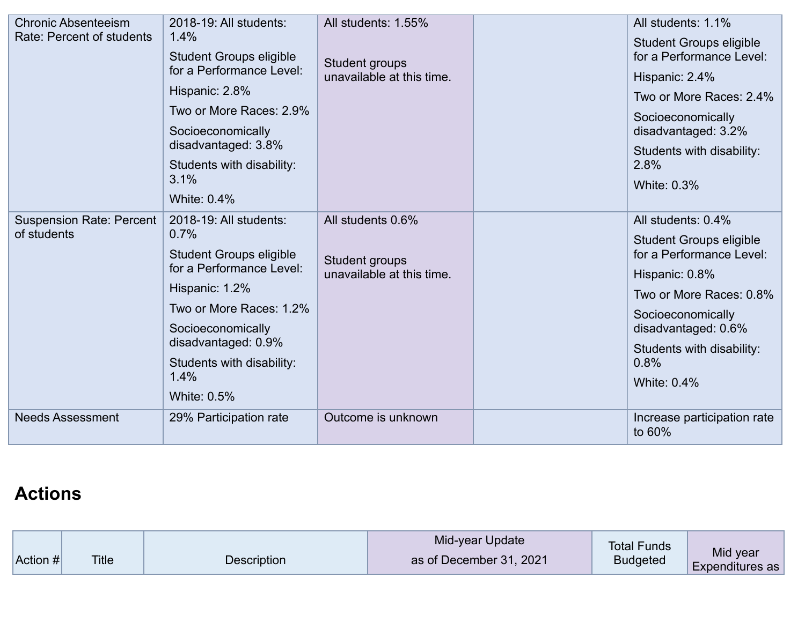| <b>Chronic Absenteeism</b><br>Rate: Percent of students | 2018-19: All students:<br>1.4%<br><b>Student Groups eligible</b><br>for a Performance Level:<br>Hispanic: 2.8%<br>Two or More Races: 2.9%<br>Socioeconomically<br>disadvantaged: 3.8%<br>Students with disability:<br>3.1%<br><b>White: 0.4%</b> | All students: 1.55%<br>Student groups<br>unavailable at this time. | All students: 1.1%<br><b>Student Groups eligible</b><br>for a Performance Level:<br>Hispanic: 2.4%<br>Two or More Races: 2.4%<br>Socioeconomically<br>disadvantaged: 3.2%<br>Students with disability:<br>2.8%<br><b>White: 0.3%</b> |
|---------------------------------------------------------|--------------------------------------------------------------------------------------------------------------------------------------------------------------------------------------------------------------------------------------------------|--------------------------------------------------------------------|--------------------------------------------------------------------------------------------------------------------------------------------------------------------------------------------------------------------------------------|
| Suspension Rate: Percent<br>of students                 | 2018-19: All students:<br>0.7%<br><b>Student Groups eligible</b><br>for a Performance Level:<br>Hispanic: 1.2%<br>Two or More Races: 1.2%<br>Socioeconomically<br>disadvantaged: 0.9%<br>Students with disability:<br>1.4%<br><b>White: 0.5%</b> | All students 0.6%<br>Student groups<br>unavailable at this time.   | All students: 0.4%<br><b>Student Groups eligible</b><br>for a Performance Level:<br>Hispanic: 0.8%<br>Two or More Races: 0.8%<br>Socioeconomically<br>disadvantaged: 0.6%<br>Students with disability:<br>0.8%<br><b>White: 0.4%</b> |
| <b>Needs Assessment</b>                                 | 29% Participation rate                                                                                                                                                                                                                           | Outcome is unknown                                                 | Increase participation rate<br>to 60%                                                                                                                                                                                                |

## **Actions**

|            |              |                    | Mid-year Update         | <b>Total Funds</b> | Mid year        |
|------------|--------------|--------------------|-------------------------|--------------------|-----------------|
| Action $#$ | <b>Title</b> | <b>Description</b> | as of December 31, 2021 | <b>Budgeted</b>    | Expenditures as |